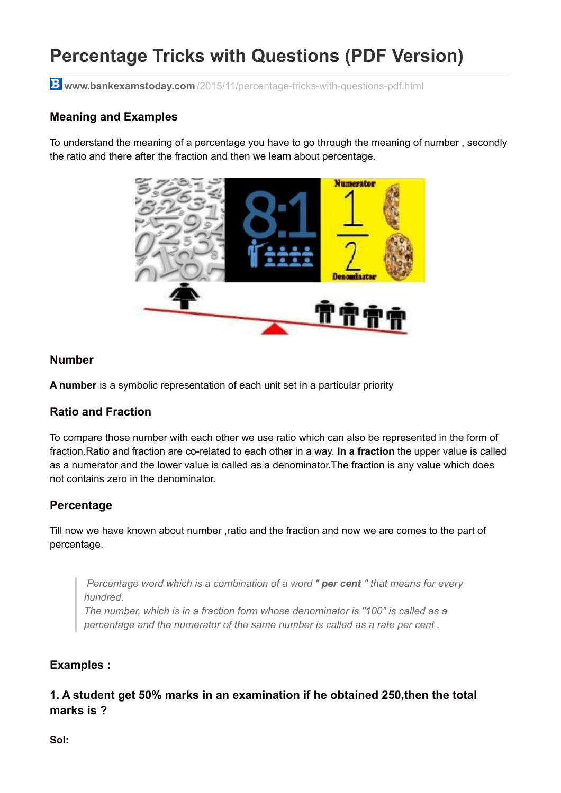# **Percentage Tricks with Questions (PDF Version)**

**www.bankexamstoday.com** [/2015/11/percentage-tricks-with-questions-pdf.html](http://www.bankexamstoday.com/2015/11/percentage-tricks-with-questions-pdf.html)

### **Meaning and Examples**

To understand the meaning of a percentage you have to go through the meaning of number , secondly the ratio and there after the fraction and then we learn about percentage.



#### **Number**

**A number** is a symbolic representation of each unit set in a particular priority

#### **Ratio and Fraction**

To compare those number with each other we use ratio which can also be represented in the form of fraction.Ratio and fraction are co-related to each other in a way. **In a fraction** the upper value is called as a numerator and the lower value is called as a denominator.The fraction is any value which does not contains zero in the denominator.

#### **Percentage**

Till now we have known about number ,ratio and the fraction and now we are comes to the part of percentage.

*Percentage word which is a combination of a word " per cent " that means for every hundred.*

*The number, which is in a fraction form whose denominator is "100" is called as a percentage and the numerator of the same number is called as a rate per cent .*

#### **Examples :**

**1. A student get 50% marks in an examination if he obtained 250,then the total marks is ?**

**Sol:**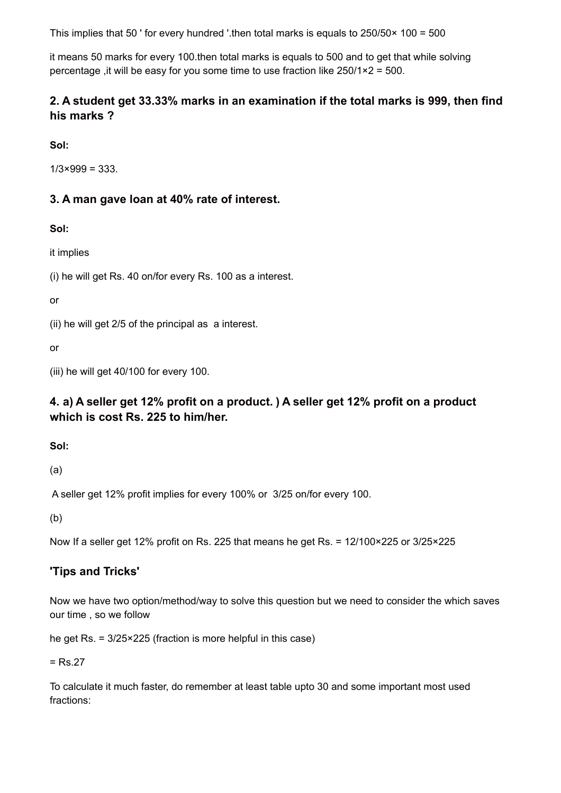This implies that 50 ' for every hundred '.then total marks is equals to 250/50× 100 = 500

it means 50 marks for every 100.then total marks is equals to 500 and to get that while solving percentage ,it will be easy for you some time to use fraction like 250/1×2 = 500.

# **2. A student get 33.33% marks in an examination if the total marks is 999, then find his marks ?**

**Sol:**

 $1/3 \times 999 = 333$ .

# **3. A man gave loan at 40% rate of interest.**

**Sol:**

it implies

(i) he will get Rs. 40 on/for every Rs. 100 as a interest.

or

(ii) he will get 2/5 of the principal as a interest.

or

(iii) he will get 40/100 for every 100.

# **4. a) A seller get 12% profit on a product. ) A seller get 12% profit on a product which is cost Rs. 225 to him/her.**

**Sol:**

(a)

A seller get 12% profit implies for every 100% or 3/25 on/for every 100.

(b)

Now If a seller get 12% profit on Rs. 225 that means he get Rs. = 12/100×225 or 3/25×225

# **'Tips and Tricks'**

Now we have two option/method/way to solve this question but we need to consider the which saves our time , so we follow

he get Rs. = 3/25×225 (fraction is more helpful in this case)

 $=$  Rs.27

To calculate it much faster, do remember at least table upto 30 and some important most used fractions: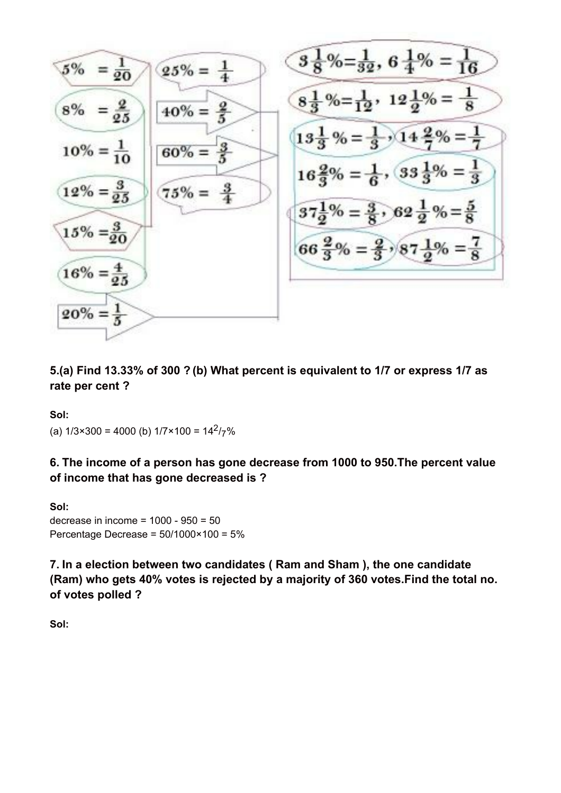$$
\frac{5\% = \frac{1}{20}}{8\% = \frac{2}{25}} \qquad \frac{25\% = \frac{1}{4}}{40\% = \frac{2}{5}} \qquad \frac{8\frac{1}{3}\% = \frac{1}{32}, 6\frac{1}{4}\% = \frac{1}{16}}{8\frac{1}{3}\% = \frac{1}{12}, 12\frac{1}{2}\% = \frac{1}{8}}
$$
\n
$$
\frac{10\% = \frac{1}{10}}{10\% = \frac{3}{25}} \qquad \frac{60\% = \frac{8}{5}}{75\% = \frac{9}{4}}
$$
\n
$$
\frac{16\frac{2}{3}\% = \frac{1}{6}, 33\frac{1}{3}\% = \frac{1}{3}}{37\frac{1}{2}\% = \frac{3}{8}, 62\frac{1}{2}\% = \frac{5}{8}}
$$
\n
$$
\frac{37\frac{1}{2}\% = \frac{3}{8}, 62\frac{1}{2}\% = \frac{5}{8}}{66\frac{2}{3}\% = \frac{2}{3}, 87\frac{1}{2}\% = \frac{7}{8}}
$$
\n
$$
\frac{20\% = \frac{1}{5}}{20\% = \frac{1}{5}}
$$

**5.(a) Find 13.33% of 300 ? (b) What percent is equivalent to 1/7 or express 1/7 as rate per cent ?**

**Sol:**

(a)  $1/3 \times 300 = 4000$  (b)  $1/7 \times 100 = 14^2 / 7\%$ 

**6. The income of a person has gone decrease from 1000 to 950.The percent value of income that has gone decreased is ?**

**Sol:** decrease in income = 1000 - 950 = 50 Percentage Decrease = 50/1000×100 = 5%

**7. In a election between two candidates ( Ram and Sham ), the one candidate (Ram) who gets 40% votes is rejected by a majority of 360 votes.Find the total no. of votes polled ?**

**Sol:**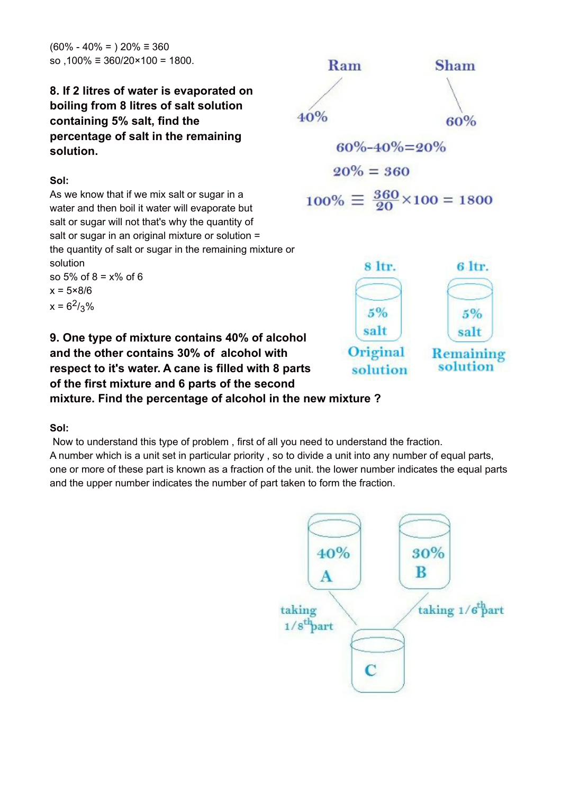$(60\% - 40\% = 0)$  20%  $\equiv 360$ so ,100% ≡ 360/20×100 = 1800.

# **8. If 2 litres of water is evaporated on boiling from 8 litres of salt solution containing 5% salt, find the percentage of salt in the remaining solution.**

#### **Sol:**

As we know that if we mix salt or sugar in a water and then boil it water will evaporate but salt or sugar will not that's why the quantity of salt or sugar in an original mixture or solution = the quantity of salt or sugar in the remaining mixture or solution so 5% of 8 = x% of 6  $x = 5 \times 8/6$  $x = 6^2 / 3\%$ 





**9. One type of mixture contains 40% of alcohol and the other contains 30% of alcohol with respect to it's water. A cane is filled with 8 parts of the first mixture and 6 parts of the second mixture. Find the percentage of alcohol in the new mixture ?**

# **Sol:**

Now to understand this type of problem , first of all you need to understand the fraction. A number which is a unit set in particular priority , so to divide a unit into any number of equal parts, one or more of these part is known as a fraction of the unit. the lower number indicates the equal parts and the upper number indicates the number of part taken to form the fraction.

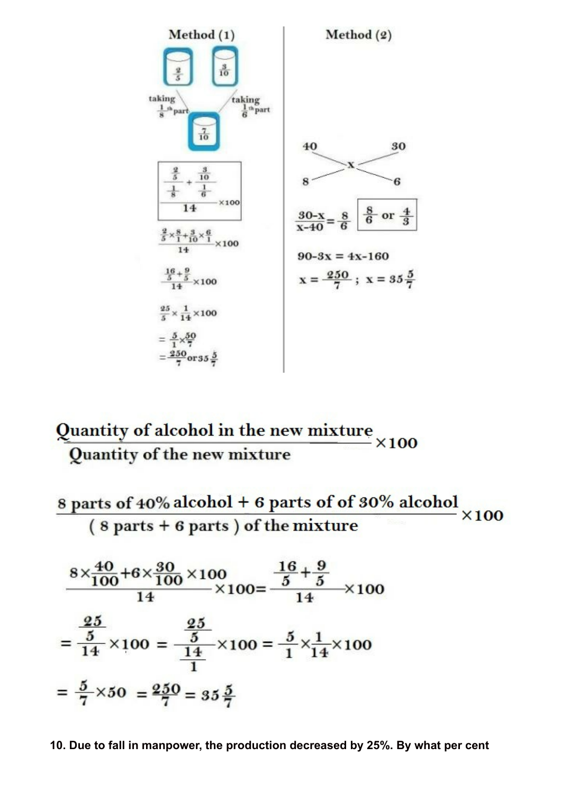

# Quantity of alcohol in the new mixture  $\times 100$ Quantity of the new mixture

8 parts of 40% alcohol + 6 parts of of 30% alcohol  $\times 100$  $(8 parts + 6 parts)$  of the mixture

$$
\frac{8 \times \frac{40}{100} + 6 \times \frac{30}{100} \times 100}{14} \times 100 = \frac{\frac{16}{5} + \frac{9}{5}}{14} \times 100
$$

$$
= \frac{\frac{25}{5}}{14} \times 100 = \frac{\frac{25}{5}}{\frac{14}{1}} \times 100 = \frac{5}{1} \times \frac{1}{14} \times 100
$$

$$
= \frac{5}{7} \times 50 = \frac{250}{7} = 35\frac{5}{7}
$$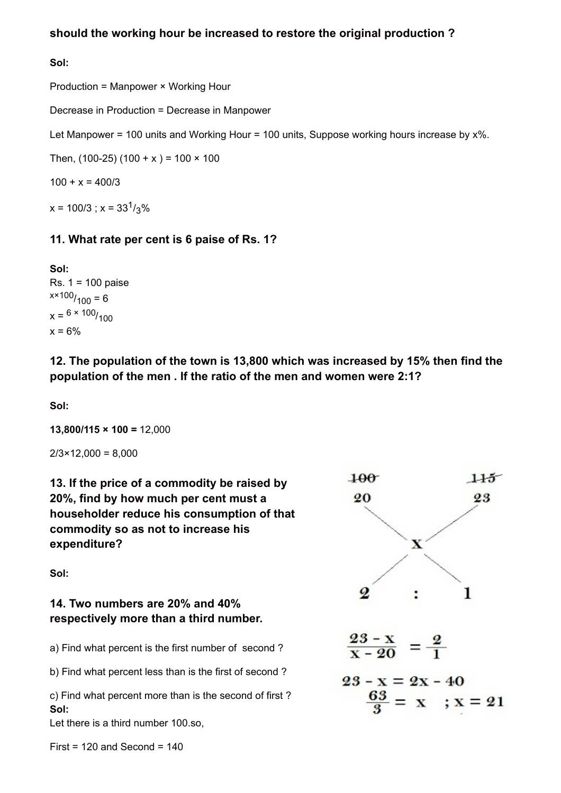# **should the working hour be increased to restore the original production ?**

#### **Sol:**

Production = Manpower × Working Hour

Decrease in Production = Decrease in Manpower

Let Manpower = 100 units and Working Hour = 100 units, Suppose working hours increase by  $x\%$ .

Then,  $(100-25) (100 + x) = 100 \times 100$ 

 $100 + x = 400/3$ 

 $x = 100/3$ ;  $x = 33<sup>1</sup>/3$ %

# **11. What rate per cent is 6 paise of Rs. 1?**

**Sol:** Rs. 1 = 100 paise  $x \times 100 / 100 = 6$  $x = 6 \times 100 / 100$  $x = 6\%$ 

**12. The population of the town is 13,800 which was increased by 15% then find the population of the men . If the ratio of the men and women were 2:1?**

**Sol:**

**13,800/115 × 100 =** 12,000

 $2/3 \times 12,000 = 8,000$ 

**13. If the price of a commodity be raised by 20%, find by how much per cent must a householder reduce his consumption of that commodity so as not to increase his expenditure?**

**Sol:**

# **14. Two numbers are 20% and 40% respectively more than a third number.**

a) Find what percent is the first number of second ?

b) Find what percent less than is the first of second ?

c) Find what percent more than is the second of first ? **Sol:**

Let there is a third number 100.so,

 $First = 120$  and Second =  $140$ 

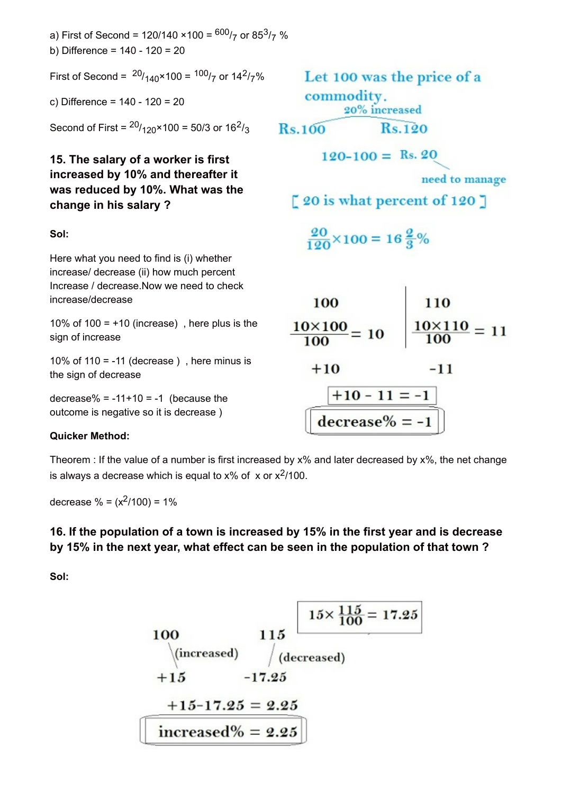a) First of Second = 120/140 ×100 = <sup>600</sup>/<sub>7</sub> or 85<sup>3</sup>/<sub>7</sub> % b) Difference = 140 - 120 = 20

First of Second =  $^{20}/_{140} \times 100 = {^{100}}/_{7}$  or 14<sup>2</sup>/<sub>7</sub>%

c) Difference = 140 - 120 = 20

Second of First =  $^{20}/_{120}$ ×100 = 50/3 or 16<sup>2</sup>/<sub>3</sub>

# **15. The salary of a worker is first increased by 10% and thereafter it was reduced by 10%. What was the change in his salary ?**

#### **Sol:**

Here what you need to find is (i) whether increase/ decrease (ii) how much percent Increase / decrease.Now we need to check increase/decrease

10% of 100 =  $+10$  (increase), here plus is the sign of increase

10% of 110 =  $-11$  (decrease), here minus is the sign of decrease

decrease% =  $-11+10 = -1$  (because the outcome is negative so it is decrease )

#### **Quicker Method:**

Theorem : If the value of a number is first increased by x% and later decreased by x%, the net change is always a decrease which is equal to x% of  $\,\mathrm{x}$  or  $\mathrm{x}^{2}/100.$ 

decrease % =  $(x^2/100)$  = 1%

# **16. If the population of a town is increased by 15% in the first year and is decrease by 15% in the next year, what effect can be seen in the population of that town ?**

**Sol:**

100  
\n100  
\n
$$
115
$$
  
\n $15 \times \frac{115}{100} = 17.25$   
\n+15 -17.25 = 2.25  
\n $15-17.25 = 2.25$   
\n $15-17.25 = 2.25$ 

Let 100 was the price of a commodity. 20% increased **Rs.100**  $Rs.120$ 

 $120-100 =$  Rs. 20

need to manage

 $\lceil 20$  is what percent of 120  $\rceil$ 

$$
\frac{20}{120} \times 100 = 16\frac{2}{3}\%
$$

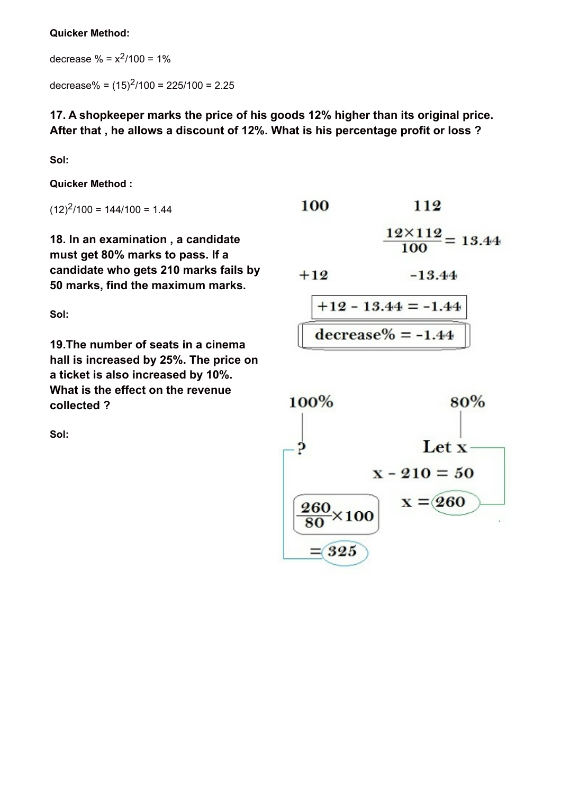#### **Quicker Method:**

decrease  $\% = x^2/100 = 1\%$ 

decrease% =  $(15)^{2}/100 = 225/100 = 2.25$ 

**17. A shopkeeper marks the price of his goods 12% higher than its original price. After that , he allows a discount of 12%. What is his percentage profit or loss ?**

**Sol:**

**Quicker Method :**

 $(12)^{2}/100 = 144/100 = 1.44$ 

**18. In an examination , a candidate must get 80% marks to pass. If a candidate who gets 210 marks fails by 50 marks, find the maximum marks.**

**Sol:**

**19.The number of seats in a cinema hall is increased by 25%. The price on a ticket is also increased by 10%. What is the effect on the revenue collected ?**

**Sol:**

| 100 | 112                            |
|-----|--------------------------------|
|     | $12 \times 112 = 13.44$<br>100 |

 $-13.44$  $+12$ 

$$
\frac{\boxed{+12 - 13.44 = -1.44}}{\text{decrease\%} = -1.44}
$$